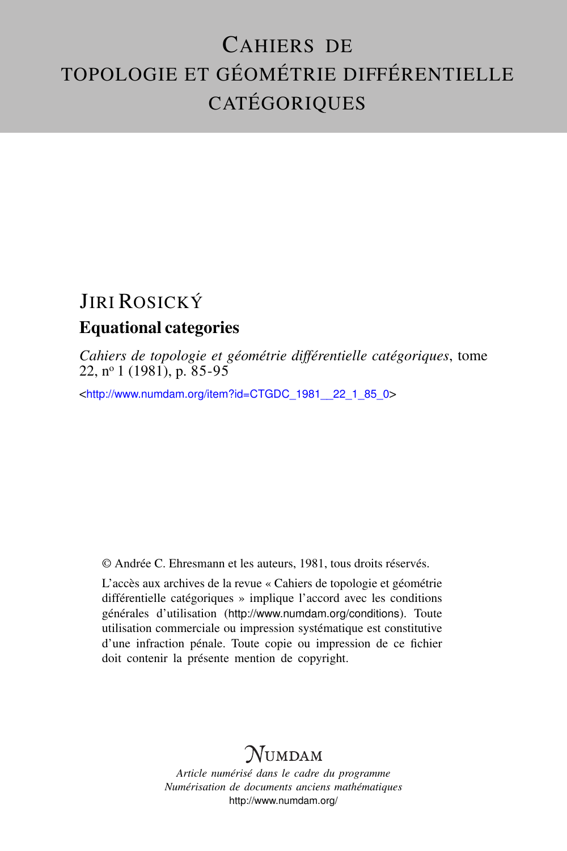# CAHIERS DE TOPOLOGIE ET GÉOMÉTRIE DIFFÉRENTIELLE CATÉGORIQUES

## JIRI ROSICKÝ Equational categories

*Cahiers de topologie et géométrie différentielle catégoriques*, tome 22, n<sup>o</sup> 1 (1981), p. 85-95

<[http://www.numdam.org/item?id=CTGDC\\_1981\\_\\_22\\_1\\_85\\_0](http://www.numdam.org/item?id=CTGDC_1981__22_1_85_0)>

© Andrée C. Ehresmann et les auteurs, 1981, tous droits réservés.

L'accès aux archives de la revue « Cahiers de topologie et géométrie différentielle catégoriques » implique l'accord avec les conditions générales d'utilisation (<http://www.numdam.org/conditions>). Toute utilisation commerciale ou impression systématique est constitutive d'une infraction pénale. Toute copie ou impression de ce fichier doit contenir la présente mention de copyright.

## **NUMDAM**

*Article numérisé dans le cadre du programme Numérisation de documents anciens mathématiques* <http://www.numdam.org/>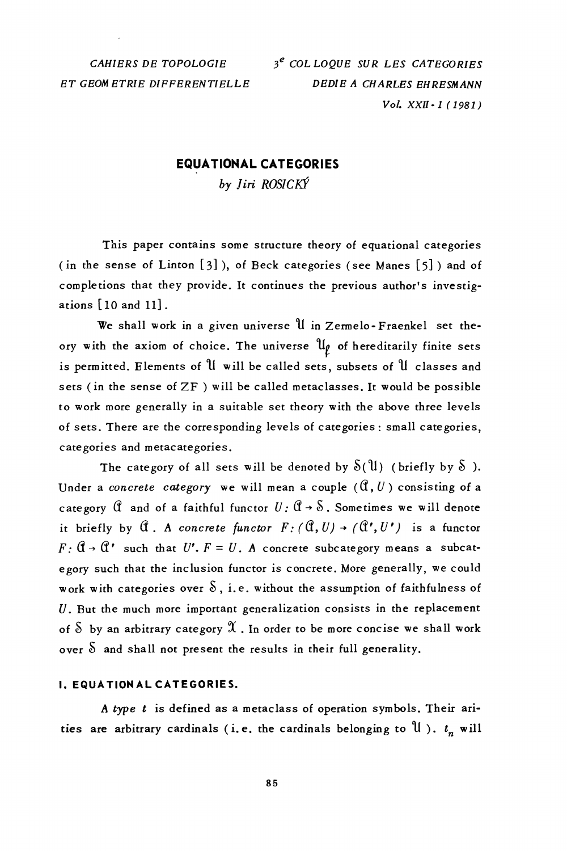CAHIERS DE TOPOLOGIE ET GEOMETRIE DIFFERENTIELLE

### **EQUATIONAL CATEGORIES**

by Jiri ROSICKÝ

This paper contains some structure theory of equational categories (in the sense of Linton [3]), of Beck categories (see Manes [5]) and of completions that they provide. It continues the previous author's investigations [10 and 11].

We shall work in a given universe U in Zermelo-Fraenkel set theory with the axiom of choice. The universe  $\mathfrak{u}_{\rho}$  of hereditarily finite sets is permitted. Elements of U will be called sets, subsets of U classes and sets (in the sense of ZF) will be called metaclasses. It would be possible to work more generally in a suitable set theory with the above three levels of sets. There are the corresponding levels of categories : small categories, categories and metacategories.

The category of all sets will be denoted by  $S(\mathfrak{U})$  (briefly by  $S$ ). Under a concrete category we will mean a couple  $(\mathcal{C}, U)$  consisting of a category  $\hat{U}$  and of a faithful functor  $U: \hat{U} \rightarrow \hat{\delta}$ . Sometimes we will denote it briefly by  $\mathcal C$ . A concrete functor  $F: (\mathcal C, U) \to (\mathcal C', U')$  is a functor  $F: \mathbb{G} \to \mathbb{G}'$  such that  $U'. F = U. A$  concrete subcategory means a subcategory such that the inclusion functor is concrete. More generally, we could work with categories over  $\delta$ , i.e. without the assumption of faithfulness of  $U$ . But the much more important generalization consists in the replacement of  $\delta$  by an arbitrary category  $\mathfrak{A}$  . In order to be more concise we shall work over  $\delta$  and shall not present the results in their full generality.

#### **I. EQUATION AL CATEGORIES.**

A type t is defined as a metaclass of operation symbols. Their arities are arbitrary cardinals (i.e. the cardinals belonging to U).  $t_n$  will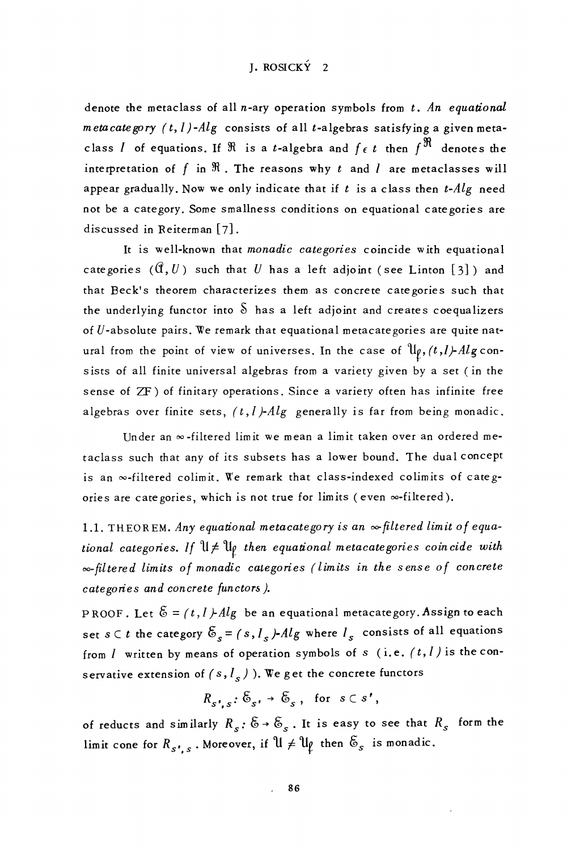## I. ROSICKÝ 2

denote the metaclass of all n-ary operation symbols from  $t$ . An equational metacate gory  $(t, l)$ -Alg consists of all t-algebras satisfying a given metaclass *l* of equations. If  $\Re$  is a *t*-algebra and  $f \epsilon t$  then  $f^{\Re}$  denotes the interpretation of f in  $\Re$ . The reasons why t and *l* are metaclasses will appear gradually. Now we only indicate that if  $t$  is a class then  $t$ - $Alg$  need not be a category. Some smallness conditions on equational categories are discussed in Reiterman [7].

It is well-known that monadic categories coincide with equational categories  $(0, U)$  such that U has a left adjoint (see Linton [3]) and that Beck's theorem characterizes them as concrete categories such that the underlying functor into  $\delta$  has a left adioint and creates coequalizers of  $U$ -absolute pairs. We remark that equational metacategories are quite natural from the point of view of universes. In the case of  $\mathcal{U}_\rho$ ,  $(t, l)$ -Alg consists of all finite universal algebras from a variety given by a set (in the sense of ZF) of finitary operations. Since a variety often has infinite free algebras over finite sets,  $(t, l)$ - $Alg$  generally is far from being monadic.

Under an  $\infty$ -filtered limit we mean a limit taken over an ordered metaclass such that any of its subsets has a lower bound. The dual concept is an «-filtered colimit. We remark that class-indexed colimits of categories are categories, which is not true for limits (even  $\infty$ -filtered).

1.1. THEOREM. Any equational metacategory is an  $\infty$  filtered limit of equational categories. If  $\mathfrak{U}\neq \mathfrak{U}_p$  then equational metacategories coincide with  $\infty$ -filtered limits of monadic categories (limits in the sense of concrete categories and concrete functors).

PROOF. Let  $\mathcal{E} = (t, I)$ -Alg be an equational metacategory. Assign to each set  $s \in t$  the category  $\mathcal{E}_s = (s, l_s)$ -Alg where  $l_s$  consists of all equations from  $I$  written by means of operation symbols of  $s$  (i.e.  $(t, I)$  is the conservative extension of (s,  $l_s$ )). We get the concrete functors

$$
R_{s',s}: \mathfrak{S}_{s'} \to \mathfrak{S}_s, \text{ for } s \subset s',
$$

of reducts and similarly  $R_s$ :  $\mathfrak{S} \rightarrow \mathfrak{S}_s$ . It is easy to see that  $R_s$  form the limit cone for  $R_{s,s}$ . Moreover, if  $\mathfrak{U} \neq \mathfrak{U}_{\ell}$  then  $\mathfrak{S}_{s}$  is monadic.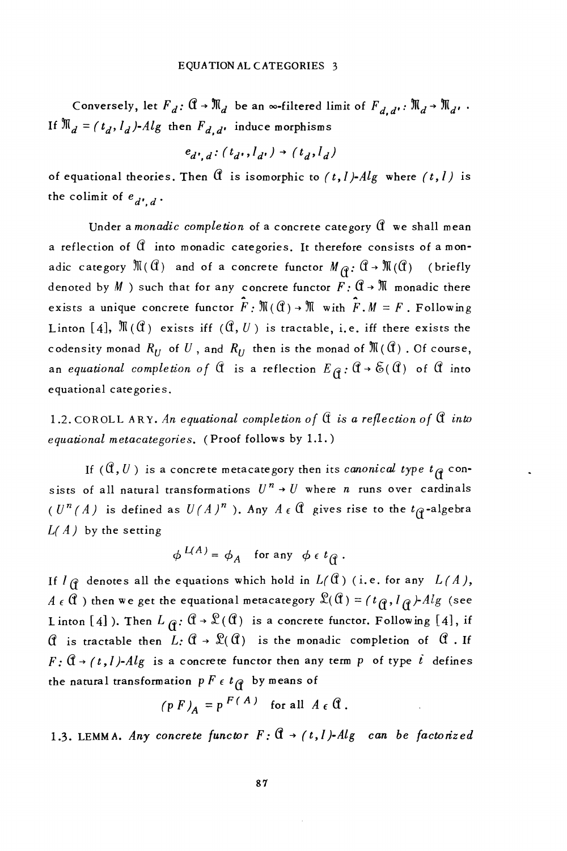Conversely, let  $F_d$ :  $\mathbb{G} \to \mathbb{M}_d$  be an  $\infty$ -filtered limit of  $F_{d,d}$ .  $\mathbb{M}_d \to \mathbb{M}_d$ . If  $\mathbb{N}_d = (t_d, l_d)$ -Alg then  $F_{d,d'}$  induce morphisms

$$
e_{d',d}: (t_{d'}, l_{d'}) \rightarrow (t_d, l_d)
$$

of equational theories. Then  $\mathcal C$  is isomorphic to  $(t, l)$ - $Alg$  where  $(t, l)$  is the colimit of  $e_{d^{\prime},d}$ .

Under a monadic completion of a concrete category  $\mathcal C$  we shall mean a reflection of  $\mathbb G$  into monadic categories. It therefore consists of a monadic category  $\mathfrak{M}(\mathfrak{C})$  and of a concrete functor  $M_{\mathfrak{C}}:\mathfrak{C}\to\mathfrak{M}(\mathfrak{C})$  (briefly denoted by  $M$  ) such that for any concrete functor  $F: \mathbb{C} \to \mathbb{N}$  monadic there exists a unique concrete functor  $\hat{F}$ :  $\mathbb{M}(\mathbb{C}) \to \mathbb{M}$  with  $\hat{F}$ .  $M = F$ . Following Linton [4],  $\mathbb{N}(0)$  exists iff  $(0, U)$  is tractable, i.e. iff there exists the codensity monad  $R_U$  of  $U$ , and  $R_U$  then is the monad of  $\mathfrak{M}(\mathfrak{A})$ . Of course, an equational completion of  $\hat{\mathfrak{a}}$  is a reflection  $E_{\hat{\mathfrak{B}}}$ :  $\hat{\mathfrak{a}} \to \tilde{\mathfrak{b}}(\hat{\mathfrak{a}})$  of  $\hat{\mathfrak{a}}$  into equational categories.

1.2. COROLL ARY. An equational completion of  $\mathfrak A$  is a reflection of  $\mathfrak A$  into equational metacategories. (Proof follows by 1.1.)

If  $(\mathfrak{A}, U)$  is a concrete metacategory then its canonical type  $t_{\mathfrak{A}}$  consists of all natural transformations  $U^n \rightarrow U$  where *n* runs over cardinals  $(U^n(A))$  is defined as  $U(A)^n$ . Any  $A \in \mathbb{C}$  gives rise to the  $t_{\mathcal{C}}$ -algebra  $L(A)$  by the setting

$$
\phi^{L(A)} = \phi_A \quad \text{for any} \ \phi \in t_{\mathfrak{g}}.
$$

If  $I \nsubseteq$  denotes all the equations which hold in  $L(\mathfrak{A})$  (i.e. for any  $L(A)$ , A  $\epsilon$  (i) then we get the equational metacategory  $\mathfrak{L}(\mathfrak{C}) = (t_{\mathfrak{C}}, l_{\mathfrak{C}})$ -Alg (see Linton [4]). Then  $L_{\mathfrak{G}}: \mathfrak{A} \to \mathfrak{L}(\mathfrak{G})$  is a concrete functor. Following [4], if  $\mathcal C$  is tractable then  $L: \mathcal C \to \mathcal C(\mathcal C)$  is the monadic completion of  $\mathcal C$ . If  $F: \mathbb{G} \rightarrow (t, l)$ -Alg is a concrete functor then any term p of type  $i$  defines the natural transformation  $p F \in t_{\mathfrak{F}}$  by means of

$$
(p F)_A = p^{F(A)} \text{ for all } A \in \mathbb{C}.
$$

1.3. LEMMA. Any concrete functor  $F: \mathbb{C} \to (t, l)$ -Alg can be factorized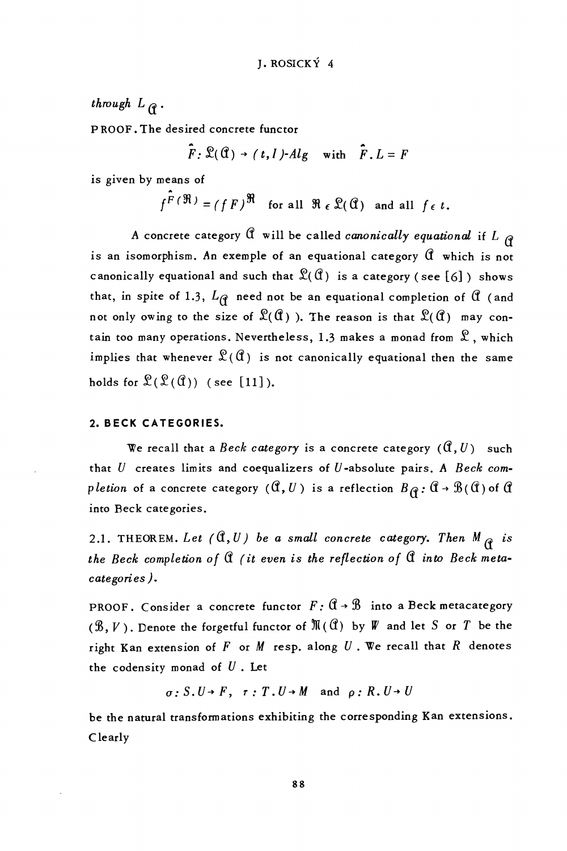## through  $L_{\mathcal{C}}$ .

PROOF. The desired concrete functor

$$
\hat{F}
$$
:  $\mathcal{L}(\mathcal{C}) \rightarrow (t, l)$ - $Alg$  with  $\hat{F}$ .  $L = F$ 

is given by means of

 $f^{\hat{F}(\mathfrak{R})} = (fF)^{\mathfrak{R}}$  for all  $\mathfrak{R} \in \mathfrak{L}(\mathfrak{A})$  and all  $f \in t$ .

A concrete category  $\theta$  will be called *canonically equational* if L  $_{\theta}$ is an isomorphism. An exemple of an equational category  $\mathfrak C$  which is not canonically equational and such that  $\mathfrak{L}(\mathfrak{A})$  is a category (see [6]) shows that, in spite of 1.3,  $L_{\mathcal{C}}$  need not be an equational completion of  $\mathcal{C}$  (and not only owing to the size of  $\mathcal{L}(\mathcal{C})$ ). The reason is that  $\mathcal{L}(\mathcal{C})$  may contain too many operations. Nevertheless, 1.3 makes a monad from  $\mathcal{R}$ , which implies that whenever  $\mathfrak{L}(\mathfrak{C})$  is not canonically equational then the same holds for  $\mathcal{L}(\mathcal{L}(\mathcal{C}))$  (see [11]).

#### 2. BECK CATEGORIES.

We recall that a Beck category is a concrete category  $(\mathfrak{A}, U)$  such that  $U$  creates limits and coequalizers of  $U$ -absolute pairs. A Beck completion of a concrete category  $(\mathfrak{A}, U)$  is a reflection  $B_{\Omega}$ :  $\mathfrak{A} \rightarrow \mathfrak{B}(\mathfrak{A})$  of  $\mathfrak{A}$ into Beck categories.

2.1. THEOREM. Let  $(0, U)$  be a small concrete category. Then  $M_{\varphi}$  is the Beck completion of  $\mathcal C$  (it even is the reflection of  $\mathcal C$  into Beck metacategories).

PROOF. Consider a concrete functor  $F: \mathbb{C} \rightarrow \mathbb{B}$  into a Beck metacategory  $(\mathcal{B}, V)$ . Denote the forgetful functor of  $\mathbb{N}(\mathbb{C})$  by W and let S or T be the right Kan extension of  $F$  or  $M$  resp. along  $U$ . We recall that  $R$  denotes the codensity monad of  $U$ . Let

 $\sigma: S. U \rightarrow F$ ,  $\tau: T. U \rightarrow M$  and  $\rho: R. U \rightarrow U$ 

be the natural transformations exhibiting the corresponding Kan extensions. Clearly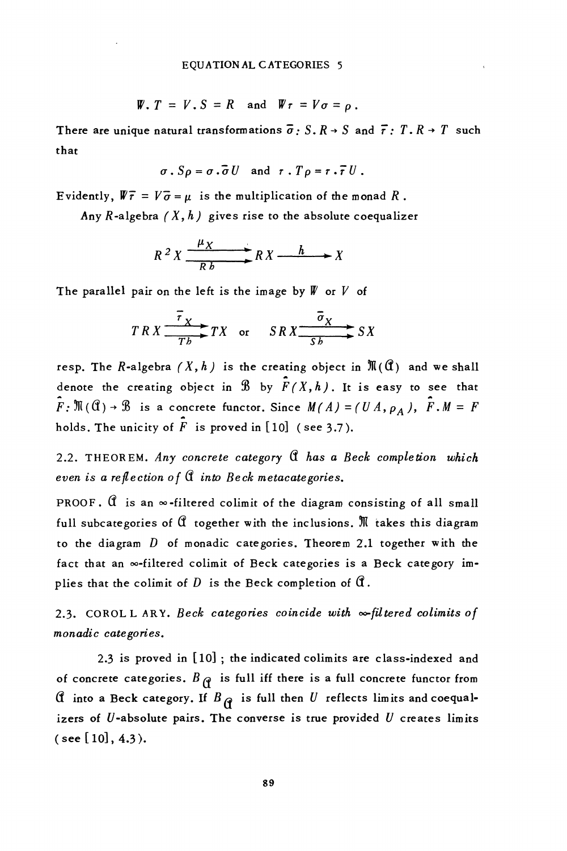$$
\mathbf{W.} \ \mathbf{T} = V \cdot \mathbf{S} = R \quad \text{and} \quad \mathbf{W} \cdot \mathbf{r} = V \cdot \mathbf{r} = \rho \ .
$$

There are unique natural transformations  $\bar{\sigma}$ : S. R  $\rightarrow$  S and  $\bar{\tau}$ : T. R  $\rightarrow$  T such that

$$
\sigma \cdot S \rho = \sigma \cdot \overline{\sigma} U \quad \text{and} \quad \tau \cdot T \rho = \tau \cdot \overline{\tau} U.
$$

Evidently,  $\mathbb{V}\bar{\tau} = V\bar{\sigma} = \mu$  is the multiplication of the monad R.

Any R-algebra  $(X, h)$  gives rise to the absolute coequalizer

$$
R^2 X \xrightarrow{ \mu_X} R X \xrightarrow{h} X
$$

The parallel pair on the left is the image by  $W$  or  $V$  of

$$
TRX \xrightarrow{\overline{r}_X} TX \quad \text{or} \quad SRX \xrightarrow{\overline{\overline{\sigma}_X}} SX
$$

resp. The R-algebra  $(X, h)$  is the creating object in  $\mathfrak{M}(\mathfrak{C})$  and we shall denote the creating object in  $\mathcal{B}$  by  $\hat{F}(X,h)$ . It is easy to see that  $\hat{F}$ :  $\mathfrak{M}(\mathfrak{C})$   $\rightarrow$   $\mathfrak{B}$  is a concrete functor. Since  $M(A) = (UA, \rho_A)$ ,  $\hat{F} \cdot M = F$ holds. The unicity of  $\hat{F}$  is proved in [10] (see 3.7).

2.2. THEOREM. Any concrete category Q has a Beck completion which even is a reflection of  $\mathcal A$  into Beck metacategories.

PROOF.  $\hat{\mathfrak{a}}$  is an  $\infty$ -filtered colimit of the diagram consisting of all small full subcategories of  $\mathfrak A$  together with the inclusions.  $\mathfrak M$  takes this diagram to the diagram  $D$  of monadic categories. Theorem 2.1 together with the fact that an  $\infty$ -filtered colimit of Beck categories is a Beck category implies that the colimit of  $D$  is the Beck completion of  $\mathfrak{A}$ .

2.3. COROL LARY. Beck categories coincide with  $\infty$ -filtered colimits of monadic categories.

2.3 is proved in [10]; the indicated colimits are class-indexed and of concrete categories.  $B_{\rho}$  is full iff there is a full concrete functor from If into a Beck category. If  $B_{\mathcal{G}}$  is full then U reflects limits and coequalizers of  $U$ -absolute pairs. The converse is true provided  $U$  creates limits (see [10],  $4.3$ ).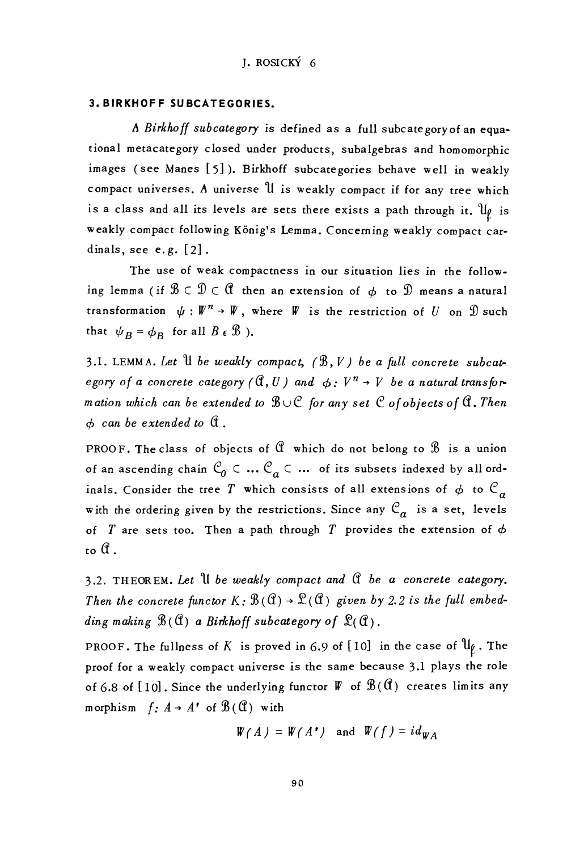#### **3. BIRKHOFF SUBCATEGORIES.**

A Birkhoff subcategory is defined as a full subcategory of an equational metacategory closed under products, subalgebras and homomorphic images (see Manes [5]). Birkhoff subcategories behave well in weakly compact universes. A universe U is weakly compact if for any tree which is a class and all its levels are sets there exists a path through it.  $\mathfrak{u}_\ell$  is weakly compact following König's Lemma. Concerning weakly compact cardinals, see  $e.g. [2]$ .

The use of weak compactness in our situation lies in the following lemma (if  $\mathcal{B} \subset \mathcal{D} \subset \mathcal{C}$  then an extension of  $\phi$  to  $\mathcal{D}$  means a natural transformation  $\psi : \mathbb{W}^n \to \mathbb{W}$ , where  $\mathbb W$  is the restriction of U on  $\mathbb D$  such that  $\psi_B = \phi_B$  for all  $B \in \mathcal{B}$ ).

3.1. LEMMA. Let  $\mathcal U$  be weakly compact,  $(\mathcal{B}, V)$  be a full concrete subcategory of a concrete category ( $\mathbb{G}, U$ ) and  $\phi: V^n \to V$  be a natural transformation which can be extended to  $\mathcal{B} \cup \mathcal{C}$  for any set  $\mathcal C$  of objects of  $\mathfrak C$ . Then  $\phi$  can be extended to  $\mathfrak A$ .

PROOF. The class of objects of  $\mathcal C$  which do not belong to  $\mathcal B$  is a union of an ascending chain  $\mathcal{C}_0 \subset ... \mathcal{C}_a \subset ...$  of its subsets indexed by all ordinals. Consider the tree T which consists of all extensions of  $\phi$  to  $\mathcal{C}_a$ with the ordering given by the restrictions. Since any  $\mathcal{C}_a$  is a set, levels of T are sets too. Then a path through T provides the extension of  $\phi$ to A.

3.2. THEOREM. Let  $\mathcal U$  be weakly compact and  $\mathcal C$  be a concrete category. Then the concrete functor  $K: \mathcal{B}(\mathcal{C}) \to \mathcal{L}(\mathcal{C})$  given by 2.2 is the full embedding making  $\mathcal{B}(\mathfrak{A})$  a Birkhoff subcategory of  $\mathfrak{L}(\mathfrak{A})$ .

PROOF. The fullness of K is proved in 6.9 of [10] in the case of  $\mathfrak{u}_{\mathfrak{f}}$ . The proof for a weakly compact universe is the same because 3.1 plays the role of 6.8 of [10]. Since the underlying functor  $W$  of  $\mathcal{B}(\mathfrak{C})$  creates limits any morphism  $f: A \rightarrow A'$  of  $\mathcal{B}(\mathfrak{A})$  with

$$
W(A) = W(A') \text{ and } W(f) = id_{WA}
$$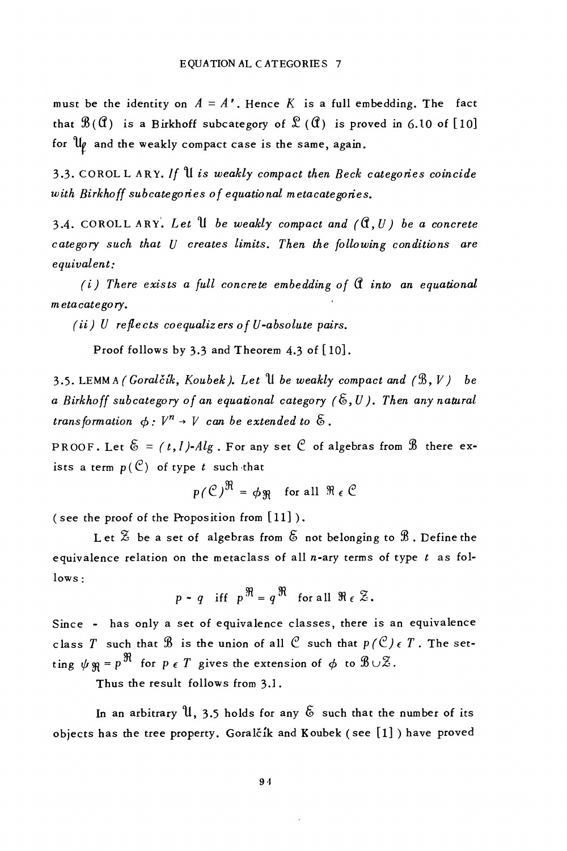must be the identity on  $A = A'$ . Hence K is a full embedding. The fact that  $\mathcal{B}(\mathcal{C})$  is a Birkhoff subcategory of  $\mathcal{L}(\mathcal{C})$  is proved in 6.10 of [10] for  $\mathfrak{u}_{\ell}$  and the weakly compact case is the same, again.

3.3. COROL LARY. If U is weakly compact then Beck categories coincide with Birkhoff subcategories of equational metacategories.

3.4. COROLL ARY. Let U be weakly compact and  $(0, U)$  be a concrete category such that U creates limits. Then the following conditions are equivalent:

 $(i)$  There exists a full concrete embedding of  $\mathfrak A$  into an equational metacategory.

 $(ii)$  U reflects coequalizers of U-absolute pairs.

Proof follows by 3.3 and Theorem 4.3 of [10].

3.5. LEMMA (Goralčík, Koubek). Let  $\mathcal U$  be weakly compact and  $(\mathcal{B}, V)$  be a Birkhoff subcategory of an equational category  $(\xi, U)$ . Then any natural transformation  $\phi: V^n \rightarrow V$  can be extended to  $\delta$ .

PROOF. Let  $\mathfrak{S} = (t, l)$ -Alg. For any set  $\mathfrak{C}$  of algebras from  $\mathfrak{B}$  there exists a term  $p(\mathcal{C})$  of type t such that

$$
p(\mathcal{C})^{\mathfrak{R}} = \phi \mathfrak{R}
$$
 for all  $\mathfrak{R} \in \mathcal{C}$ 

(see the proof of the Proposition from  $[11]$ ).

Let  $\mathbb Z$  be a set of algebras from  $\mathfrak S$  not belonging to  $\mathfrak B$ . Define the equivalence relation on the metaclass of all  $n$ -ary terms of type  $t$  as fol $lows:$ 

$$
p \cdot q
$$
 iff  $p^{\mathfrak{R}} = q^{\mathfrak{R}}$  for all  $\mathfrak{R} \in \mathcal{Z}$ .

Since - has only a set of equivalence classes, there is an equivalence class T such that  $\mathcal B$  is the union of all  $\mathcal C$  such that  $p(\mathcal C) \in T$ . The setting  $\psi \varphi = p^{\Re}$  for  $p \in T$  gives the extension of  $\phi$  to  $\mathcal{B} \cup \mathcal{Z}$ .

Thus the result follows from 3.1.

In an arbitrary  $\mathfrak{u}$ , 3.5 holds for any  $\delta$  such that the number of its objects has the tree property. Goralčík and Koubek (see [1]) have proved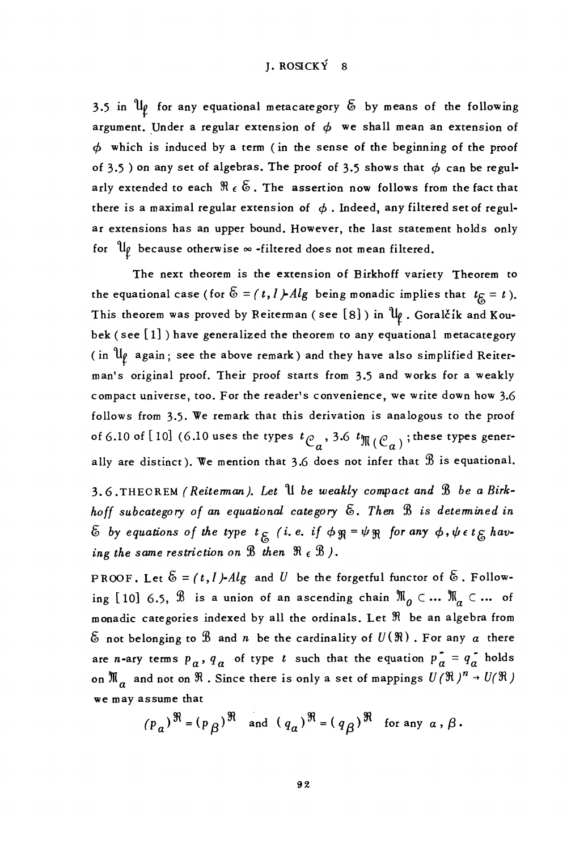## I. ROSICKÝ 8

3.5 in  $\mathfrak{u}_\ell$  for any equational metacategory  $\tilde{\mathfrak{G}}$  by means of the following argument. Under a regular extension of  $\phi$  we shall mean an extension of  $\phi$  which is induced by a term (in the sense of the beginning of the proof of 3.5 ) on any set of algebras. The proof of 3.5 shows that  $\phi$  can be regularly extended to each  $\Re\;\epsilon\;\mathfrak{S}$  . The assertion now follows from the fact that there is a maximal regular extension of  $\phi$ . Indeed, any filtered set of regular extensions has an upper bound. However, the last statement holds only for  $\mathfrak{u}_\ell$  because otherwise  $\infty$  -filtered does not mean filtered.

The next theorem is the extension of Birkhoff variety Theorem to the equational case (for  $\tilde{\mathfrak{G}} = (t, l)$ -Alg being monadic implies that  $t_{\tilde{\mathcal{G}}} = t$ ). This theorem was proved by Reiterman (see [8]) in  $\mathfrak{u}_{\rho}$ . Goralčík and Koubek (see [1]) have generalized the theorem to any equational metacategory (in  $\mathfrak{u}_{\ell}$  again; see the above remark) and they have also simplified Reiterman's original proof. Their proof starts from 3.5 and works for a weakly compact universe, too. For the reader's convenience, we write down how 3.6 follows from 3.5. We remark that this derivation is analogous to the proof of 6.10 of [10] (6.10 uses the types  $t_{\mathcal{C}_n}$ , 3.6  $t_{\mathfrak{M}}(\mathcal{C}_n)$ ; these types generally are distinct). We mention that 3.6 does not infer that  $\mathcal B$  is equational.

3.6. THEOREM (Reiteman). Let U be weakly compact and B be a Birkhoff subcategory of an equational category  $\mathfrak{S}$ . Then  $\mathfrak{B}$  is detemined in  $\&$  by equations of the type  $t_{\xi}$  (i.e. if  $\phi \Re = \psi \Re$  for any  $\phi$ ,  $\psi \in t_{\xi}$  having the same restriction on B then  $\Re$  ( $\Re$ ).

PROOF. Let  $\mathfrak{S} = (t, l)$ -Alg and U be the forgetful functor of  $\mathfrak{S}$ . Following [10] 6.5,  $\Re$  is a union of an ascending chain  $\mathbb{N}_0 \subset ... \mathbb{N}_q \subset ...$  of monadic categories indexed by all the ordinals. Let  $\Re$  be an algebra from  $\mathcal E$  not belonging to  $\mathcal B$  and n be the cardinality of  $U(\mathfrak R)$ . For any  $a$  there are *n*-ary terms  $p_a$ ,  $q_a$  of type *t* such that the equation  $p_a = q_a$  holds on  $\mathfrak{M}_\alpha$  and not on  $\mathfrak{R}$  . Since there is only a set of mappings  $U(\mathfrak{R})^n \to U(\mathfrak{R})$ we may assume that

$$
(p_a)^{\mathfrak{R}} = (p_\beta)^{\mathfrak{R}}
$$
 and  $(q_a)^{\mathfrak{R}} = (q_\beta)^{\mathfrak{R}}$  for any  $a, \beta$ .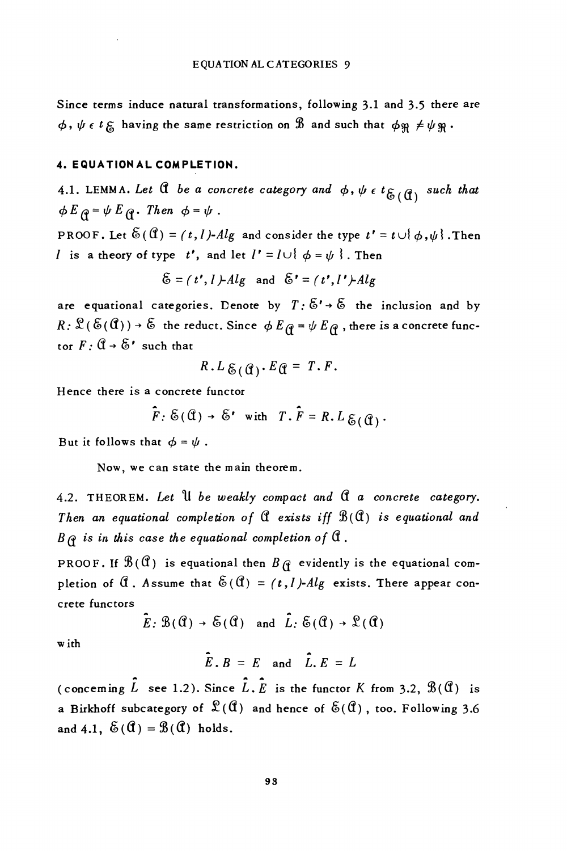Since terms induce natural transformations, following 3.1 and 3.5 there are  $\phi$ ,  $\psi$   $\epsilon$  t  $\epsilon$  having the same restriction on  $\mathcal{B}$  and such that  $\phi$   $\psi \neq \psi$   $\mathcal{B}$ .

#### 4. EQUATION AL COMPLETION.

4.1. LEMMA. Let  $\mathcal A$  be a concrete category and  $\phi$ ,  $\psi \in t_{\mathcal{E}_{\iota}(\mathcal{X})}$  such that  $\phi E_{\theta} = \psi E_{\theta}$ . Then  $\phi = \psi$ .

PROOF. Let  $\mathfrak{E}(\mathfrak{A}) = (t, l)$ -Alg and consider the type  $t' = t \cup \{\phi, \psi\}$ . Then *l* is a theory of type t', and let  $I' = I \cup \{ \phi = \psi \}$ . Then

$$
\mathfrak{S} = (t', I) - Alg \text{ and } \mathfrak{S}' = (t', I') - Alg
$$

are equational categories. Denote by  $T: \tilde{E}' \rightarrow \tilde{E}$  the inclusion and by  $R: \mathcal{L}(\mathcal{E}(\mathfrak{C}(d))) \to \mathfrak{S}$  the reduct. Since  $\phi E_{\mathfrak{C}} = \psi E_{\mathfrak{C}}$ , there is a concrete functor  $F: \mathbb{C} \rightarrow \mathbb{S}^r$  such that

$$
R. L_{\mathcal{E}}(q). Eq = T.F.
$$

Hence there is a concrete functor

$$
\tilde{F}
$$
:  $\mathcal{E}(\mathbf{G}) \rightarrow \mathcal{E}'$  with  $T \cdot \tilde{F} = R \cdot L \mathcal{E}(\mathbf{G})$ .

But it follows that  $\phi = \psi$ .

Now, we can state the main theorem.

4.2. THEOREM. Let U be weakly compact and C a concrete category. Then an equational completion of  $\mathcal C$  exists iff  $\mathcal B(\mathcal C)$  is equational and  $B \, \rho$  is in this case the equational completion of  $\mathfrak A$ .

PROOF. If  $\mathcal{B}(\mathfrak{C})$  is equational then  $B_{\mathfrak{C}}$  evidently is the equational completion of  $\hat{a}$ . Assume that  $\hat{\delta}(\hat{a}) = (t, l)$ -Alg exists. There appear concrete functors

$$
\bar{E}: \mathcal{B}(\mathcal{C}) \to \mathcal{E}(\mathcal{C})
$$
 and  $\bar{L}: \mathcal{E}(\mathcal{C}) \to \mathcal{L}(\mathcal{C})$ 

w ith

$$
\tilde{E} \cdot B = E \quad \text{and} \quad \tilde{L} \cdot E = L
$$

(concerning  $\hat{L}$  see 1.2). Since  $\hat{L}$ ,  $\hat{E}$  is the functor K from 3.2,  $\mathcal{B}(\mathcal{C})$  is a Birkhoff subcategory of  $\mathfrak{L}(\mathfrak{A})$  and hence of  $\mathfrak{E}(\mathfrak{A})$ , too. Following 3.6 and 4.1,  $\mathfrak{S}(\mathfrak{A}) = \mathfrak{B}(\mathfrak{A})$  holds.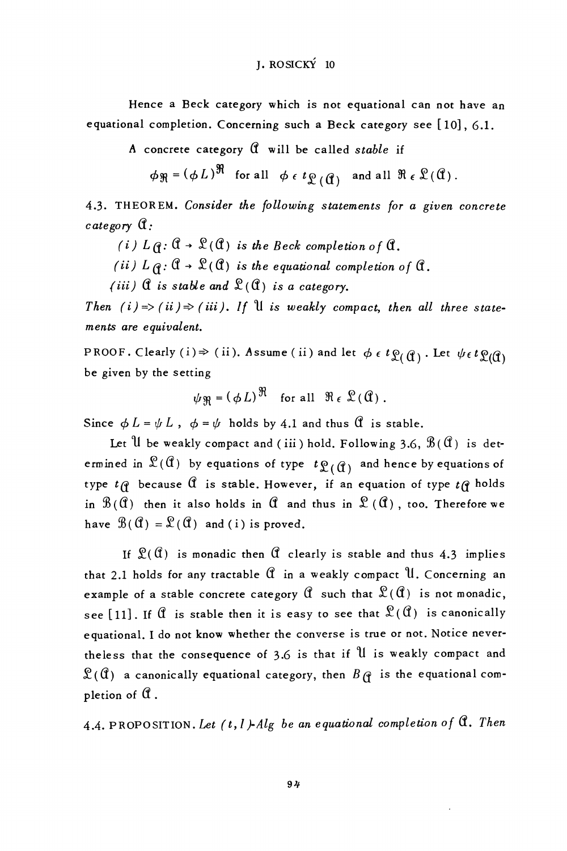### **I. ROSICKÝ 10**

Hence a Beck category which is not equational can not have an equational completion. Concerning such a Beck category see [10], 6.1.

A concrete category  $\mathcal C$  will be called stable if

 $\phi_{\mathfrak{R}} = (\phi L)^{\mathfrak{R}}$  for all  $\phi \in t_{\mathfrak{L}}(\mathfrak{g})$  and all  $\mathfrak{R} \in \mathfrak{L}(\mathfrak{A})$ .

4.3. THEOREM. Consider the following statements for a given concrete  $\emph{cate}$  gory  $\mathfrak{A}$ :

(i)  $L \hat{q}$ :  $\hat{\mathfrak{a}} \to \hat{\mathfrak{L}}(\hat{\mathfrak{a}})$  is the Beck completion of  $\hat{\mathfrak{a}}$ .

(ii)  $L \underset{\alpha}{\alpha}$ :  $\mathfrak{A} \rightarrow \mathfrak{L}(\mathfrak{A})$  is the equational completion of  $\mathfrak{A}$ .

(iii)  $\mathfrak{A}$  is stable and  $\mathfrak{L}(\mathfrak{A})$  is a category.

Then (i)=>(ii)  $\Rightarrow$  (iii). If U is weakly compact, then all three statements are equivalent.

PROOF. Clearly (i)  $\Rightarrow$  (ii). Assume (ii) and let  $\phi \in t\mathfrak{L}(\mathfrak{g})$ . Let  $\psi \in t\mathfrak{L}(\mathfrak{g})$ be given by the setting

 $\psi_{\mathfrak{B}} = (\phi L)^{\mathfrak{R}}$  for all  $\mathfrak{R}_{\epsilon} \mathfrak{L}(\mathfrak{C})$ .

Since  $\phi L = \psi L$ ,  $\phi = \psi$  holds by 4.1 and thus  $\hat{\mathfrak{A}}$  is stable.

Let U be weakly compact and (iii) hold. Following 3.6,  $\mathcal{B}(\mathfrak{A})$  is determined in  $\mathfrak{L}(\mathfrak{C})$  by equations of type  $t\mathfrak{L}(\mathfrak{C})$  and hence by equations of type  $t \in \mathfrak{g}$  because  $\mathfrak{A}$  is stable. However, if an equation of type  $t \in \mathfrak{g}$  holds in  $\mathcal{B}(\mathfrak{C})$  then it also holds in  $\mathfrak{C}$  and thus in  $\mathfrak{L}(\mathfrak{C})$ , too. Therefore we have  $\mathcal{B}(\mathcal{C}) = \mathcal{L}(\mathcal{C})$  and (i) is proved.

If  $\mathfrak{L}(\mathfrak{A})$  is monadic then  $\mathfrak A$  clearly is stable and thus 4.3 implies that 2.1 holds for any tractable  $\mathfrak A$  in a weakly compact  $\mathfrak U$ . Concerning an example of a stable concrete category  $\mathcal C$  such that  $\mathcal C(\mathcal C)$  is not monadic, see [11]. If  $\mathcal C$  is stable then it is easy to see that  $\mathcal C(\mathcal C)$  is canonically equational. I do not know whether the converse is true or not. Notice nevertheless that the consequence of 3.6 is that if U is weakly compact and  $\mathfrak{L}(\mathfrak{C})$  a canonically equational category, then  $B\mathfrak{C}$  is the equational completion of  $\mathfrak C$ .

4.4. PROPOSITION. Let  $(t, l)$ -Alg be an equational completion of  $\mathfrak{A}$ . Then